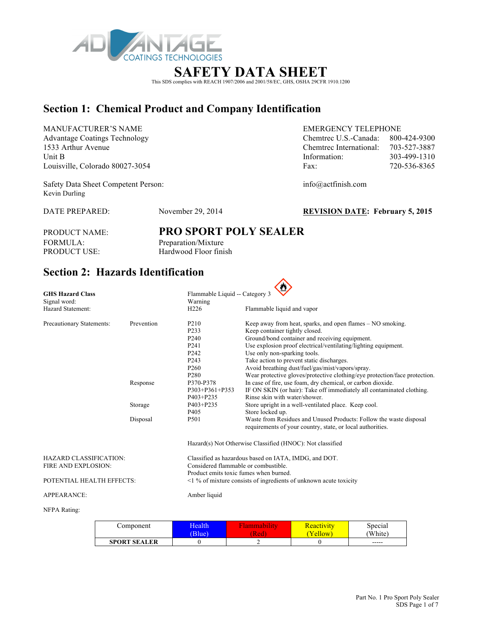

# **SAFETY DATA SHEET**

This SDS complies with REACH 1907/2006 and 2001/58/EC, GHS, OSHA 29CFR 1910.1200

# **Section 1: Chemical Product and Company Identification**

MANUFACTURER'S NAME EMERGENCY TELEPHONE Advantage Coatings Technology Chemtrec U.S.-Canada: 800-424-9300 1533 Arthur Avenue Chemtrec International: 703-527-3887 Louisville, Colorado 80027-3054 Fax: 720-54

Safety Data Sheet Competent Person: info@actfinish.com Kevin Durling

| 1533 Arthur Avenue              | Chemtrec International: | 703-527-3887 |
|---------------------------------|-------------------------|--------------|
| Unit B                          | Information:            | 303-499-1310 |
| Louisville, Colorado 80027-3054 | Fax:                    | 720-536-8365 |
|                                 |                         |              |

DATE PREPARED: November 29, 2014 **REVISION DATE: February 5, 2015**

FORMULA: Preparation/Mixture<br>PRODUCT USE: Hardwood Floor fini

# PRODUCT NAME: **PRO SPORT POLY SEALER** Hardwood Floor finish

# **Section 2: Hazards Identification**

| <b>GHS Hazard Class</b>       |            | Flammable Liquid -- Category 3                                          |                                                                            |  |  |  |  |
|-------------------------------|------------|-------------------------------------------------------------------------|----------------------------------------------------------------------------|--|--|--|--|
| Signal word:                  |            | Warning                                                                 |                                                                            |  |  |  |  |
| Hazard Statement:             |            | H <sub>226</sub>                                                        | Flammable liquid and vapor                                                 |  |  |  |  |
| Precautionary Statements:     | Prevention | P <sub>210</sub>                                                        | Keep away from heat, sparks, and open flames – NO smoking.                 |  |  |  |  |
|                               |            | P233                                                                    | Keep container tightly closed.                                             |  |  |  |  |
|                               |            | P <sub>240</sub>                                                        | Ground/bond container and receiving equipment.                             |  |  |  |  |
|                               |            | P <sub>241</sub>                                                        | Use explosion proof electrical/ventilating/lighting equipment.             |  |  |  |  |
|                               |            | P <sub>242</sub>                                                        | Use only non-sparking tools.                                               |  |  |  |  |
|                               |            | P <sub>243</sub>                                                        | Take action to prevent static discharges.                                  |  |  |  |  |
|                               |            | P <sub>260</sub>                                                        | Avoid breathing dust/fuel/gas/mist/vapors/spray.                           |  |  |  |  |
|                               |            | P <sub>280</sub>                                                        | Wear protective gloves/protective clothing/eye protection/face protection. |  |  |  |  |
|                               | Response   | P370-P378                                                               | In case of fire, use foam, dry chemical, or carbon dioxide.                |  |  |  |  |
|                               |            | P303+P361+P353                                                          | IF ON SKIN (or hair): Take off immediately all contaminated clothing.      |  |  |  |  |
|                               |            | P403+P235                                                               | Rinse skin with water/shower.                                              |  |  |  |  |
|                               | Storage    | P403+P235                                                               | Store upright in a well-ventilated place. Keep cool.                       |  |  |  |  |
|                               |            | P <sub>405</sub>                                                        | Store locked up.                                                           |  |  |  |  |
|                               | Disposal   | P501                                                                    | Waste from Residues and Unused Products: Follow the waste disposal         |  |  |  |  |
|                               |            |                                                                         | requirements of your country, state, or local authorities.                 |  |  |  |  |
|                               |            |                                                                         | Hazard(s) Not Otherwise Classified (HNOC): Not classified                  |  |  |  |  |
| <b>HAZARD CLASSIFICATION:</b> |            | Classified as hazardous based on IATA, IMDG, and DOT.                   |                                                                            |  |  |  |  |
| FIRE AND EXPLOSION:           |            | Considered flammable or combustible.                                    |                                                                            |  |  |  |  |
|                               |            | Product emits toxic fumes when burned.                                  |                                                                            |  |  |  |  |
| POTENTIAL HEALTH EFFECTS:     |            | $\leq$ 1 % of mixture consists of ingredients of unknown acute toxicity |                                                                            |  |  |  |  |
| <b>APPEARANCE:</b>            |            | Amber liquid                                                            |                                                                            |  |  |  |  |
| $\mathbf{X}$                  |            |                                                                         |                                                                            |  |  |  |  |

#### NFPA Rating:

| Component           | Health | іашшарші | <b>Reactivity</b> | Special     |
|---------------------|--------|----------|-------------------|-------------|
|                     | Blue)  | [Red     | ellow             | 'White)     |
| <b>SPORT SEALER</b> |        |          |                   | $- - - - -$ |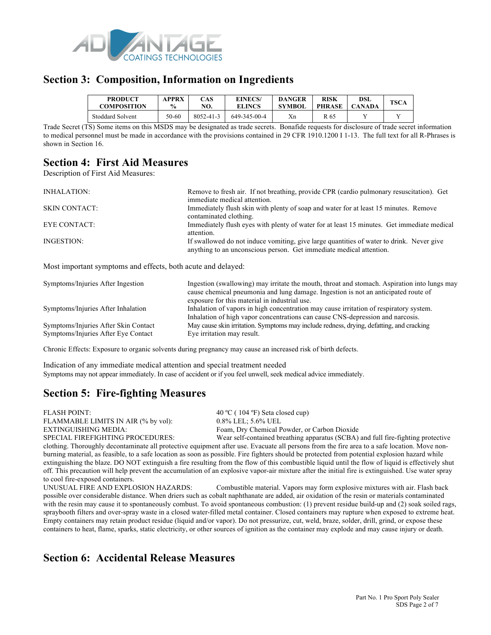

### **Section 3: Composition, Information on Ingredients**

| <b>PRODUCT</b><br>COMPOSITION | APPRX<br>$\frac{0}{0}$ | CAS<br>NO. | <b>EINECS/</b><br><b>ELINCS</b> | <b>DANGER</b><br><b>SYMBOL</b> | <b>RISK</b><br><b>PHRASE</b> | DSL<br>$\cap$ ANADA | <b>TSCA</b> |
|-------------------------------|------------------------|------------|---------------------------------|--------------------------------|------------------------------|---------------------|-------------|
| <b>Stoddard Solvent</b>       | 50-60                  | 8052-41-3  | 649-345-00-4                    | Xn                             | R 65                         |                     |             |

Trade Secret (TS) Some items on this MSDS may be designated as trade secrets. Bonafide requests for disclosure of trade secret information to medical personnel must be made in accordance with the provisions contained in 29 CFR 1910.1200 I 1-13. The full text for all R-Phrases is shown in Section 16.

# **Section 4: First Aid Measures**

Description of First Aid Measures:

| INHALATION:          | Remove to fresh air. If not breathing, provide CPR (cardio pulmonary resuscitation). Get<br>immediate medical attention.                                        |
|----------------------|-----------------------------------------------------------------------------------------------------------------------------------------------------------------|
| <b>SKIN CONTACT:</b> | Immediately flush skin with plenty of soap and water for at least 15 minutes. Remove<br>contaminated clothing.                                                  |
| EYE CONTACT:         | Immediately flush eyes with plenty of water for at least 15 minutes. Get immediate medical<br>attention.                                                        |
| INGESTION:           | If swallowed do not induce vomiting, give large quantities of water to drink. Never give<br>anything to an unconscious person. Get immediate medical attention. |

Most important symptoms and effects, both acute and delayed:

| Symptoms/Injuries After Ingestion                                           | Ingestion (swallowing) may irritate the mouth, throat and stomach. Aspiration into lungs may<br>cause chemical pneumonia and lung damage. Ingestion is not an anticipated route of<br>exposure for this material in industrial use. |
|-----------------------------------------------------------------------------|-------------------------------------------------------------------------------------------------------------------------------------------------------------------------------------------------------------------------------------|
| Symptoms/Injuries After Inhalation                                          | Inhalation of vapors in high concentration may cause irritation of respiratory system.<br>Inhalation of high vapor concentrations can cause CNS-depression and narcosis.                                                            |
| Symptoms/Injuries After Skin Contact<br>Symptoms/Injuries After Eye Contact | May cause skin irritation. Symptoms may include redness, drying, defatting, and cracking<br>Eye irritation may result.                                                                                                              |

Chronic Effects: Exposure to organic solvents during pregnancy may cause an increased risk of birth defects.

Indication of any immediate medical attention and special treatment needed Symptoms may not appear immediately. In case of accident or if you feel unwell, seek medical advice immediately.

# **Section 5: Fire-fighting Measures**

FLASH POINT: 40 °C ( 104 °F) Seta closed cup) FLAMMABLE LIMITS IN AIR (% by vol): 0.8% LEL; 5.6% UEL

EXTINGUISHING MEDIA: Foam, Dry Chemical Powder, or Carbon Dioxide

SPECIAL FIREFIGHTING PROCEDURES: Wear self-contained breathing apparatus (SCBA) and full fire-fighting protective clothing. Thoroughly decontaminate all protective equipment after use. Evacuate all persons from the fire area to a safe location. Move nonburning material, as feasible, to a safe location as soon as possible. Fire fighters should be protected from potential explosion hazard while extinguishing the blaze. DO NOT extinguish a fire resulting from the flow of this combustible liquid until the flow of liquid is effectively shut off. This precaution will help prevent the accumulation of an explosive vapor-air mixture after the initial fire is extinguished. Use water spray to cool fire-exposed containers.

UNUSUAL FIRE AND EXPLOSION HAZARDS: Combustible material. Vapors may form explosive mixtures with air. Flash back possible over considerable distance. When driers such as cobalt naphthanate are added, air oxidation of the resin or materials contaminated with the resin may cause it to spontaneously combust. To avoid spontaneous combustion: (1) prevent residue build-up and (2) soak soiled rags, spraybooth filters and over-spray waste in a closed water-filled metal container. Closed containers may rupture when exposed to extreme heat. Empty containers may retain product residue (liquid and/or vapor). Do not pressurize, cut, weld, braze, solder, drill, grind, or expose these containers to heat, flame, sparks, static electricity, or other sources of ignition as the container may explode and may cause injury or death.

## **Section 6: Accidental Release Measures**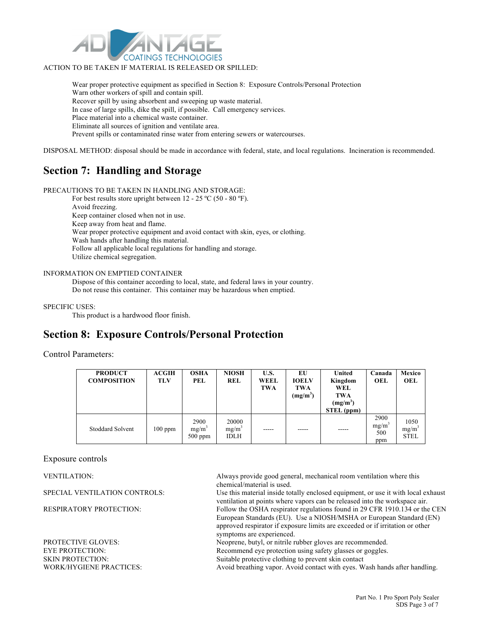

### ACTION TO BE TAKEN IF MATERIAL IS RELEASED OR SPILLED:

Wear proper protective equipment as specified in Section 8: Exposure Controls/Personal Protection Warn other workers of spill and contain spill. Recover spill by using absorbent and sweeping up waste material. In case of large spills, dike the spill, if possible. Call emergency services. Place material into a chemical waste container. Eliminate all sources of ignition and ventilate area. Prevent spills or contaminated rinse water from entering sewers or watercourses.

DISPOSAL METHOD: disposal should be made in accordance with federal, state, and local regulations. Incineration is recommended.

### **Section 7: Handling and Storage**

PRECAUTIONS TO BE TAKEN IN HANDLING AND STORAGE:

For best results store upright between 12 - 25 °C (50 - 80 °F). Avoid freezing. Keep container closed when not in use. Keep away from heat and flame. Wear proper protective equipment and avoid contact with skin, eyes, or clothing. Wash hands after handling this material. Follow all applicable local regulations for handling and storage. Utilize chemical segregation.

### INFORMATION ON EMPTIED CONTAINER

Dispose of this container according to local, state, and federal laws in your country. Do not reuse this container. This container may be hazardous when emptied.

#### SPECIFIC USES:

This product is a hardwood floor finish.

## **Section 8: Exposure Controls/Personal Protection**

### Control Parameters:

| <b>PRODUCT</b><br><b>COMPOSITION</b> | <b>ACGIH</b><br><b>TLV</b> | <b>OSHA</b><br>PEL                     | <b>NIOSH</b><br><b>REL</b>       | U.S.<br><b>WEEL</b><br>TWA | EU<br><b>IOELV</b><br><b>TWA</b><br>$(mg/m^3)$ | <b>United</b><br>Kingdom<br>WEL<br><b>TWA</b><br>$(mg/m^3)$<br>STEL (ppm) | Canada<br>OEL                           | Mexico<br>OEL                   |
|--------------------------------------|----------------------------|----------------------------------------|----------------------------------|----------------------------|------------------------------------------------|---------------------------------------------------------------------------|-----------------------------------------|---------------------------------|
| <b>Stoddard Solvent</b>              | $100$ ppm                  | 2900<br>mg/m <sup>3</sup><br>$500$ ppm | 20000<br>$mg/m^3$<br><b>IDLH</b> |                            |                                                | $- - - - -$                                                               | 2900<br>mg/m <sup>3</sup><br>500<br>ppm | 1050<br>$mg/m^2$<br><b>STEL</b> |

### Exposure controls

PROTECTIVE GLOVES: Neoprene, butyl, or nitrile rubber gloves are recommended. EYE PROTECTION: Recommend eye protection using safety glasses or goggles. SKIN PROTECTION: Suitable protective clothing to prevent skin contact

VENTILATION: Always provide good general, mechanical room ventilation where this chemical/material is used.

SPECIAL VENTILATION CONTROLS: Use this material inside totally enclosed equipment, or use it with local exhaust ventilation at points where vapors can be released into the workspace air. RESPIRATORY PROTECTION: Follow the OSHA respirator regulations found in 29 CFR 1910.134 or the CEN European Standards (EU). Use a NIOSH/MSHA or European Standard (EN) approved respirator if exposure limits are exceeded or if irritation or other symptoms are experienced.

WORK/HYGIENE PRACTICES: Avoid breathing vapor. Avoid contact with eyes. Wash hands after handling.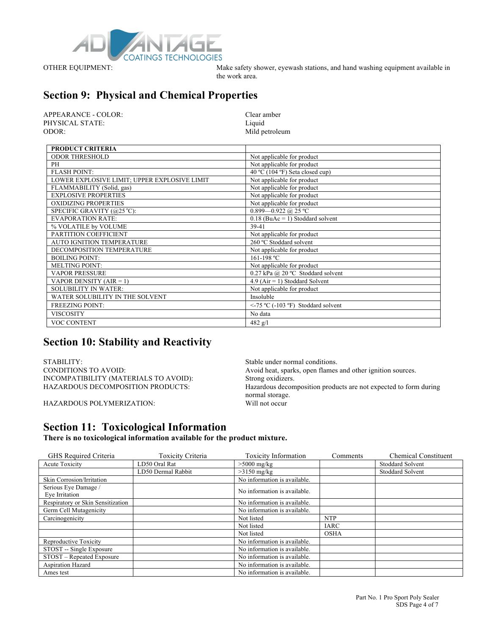

OTHER EQUIPMENT: Make safety shower, eyewash stations, and hand washing equipment available in the work area.

# **Section 9: Physical and Chemical Properties**

| APPEARANCE - COLOR: | Clear amber    |
|---------------------|----------------|
| PHYSICAL STATE:     | Liquid         |
| ODOR:               | Mild petroleum |

| <b>PRODUCT CRITERIA</b>                      |                                         |
|----------------------------------------------|-----------------------------------------|
| <b>ODOR THRESHOLD</b>                        | Not applicable for product              |
| PH                                           | Not applicable for product              |
| <b>FLASH POINT:</b>                          | 40 °C (104 °F) Seta closed cup)         |
| LOWER EXPLOSIVE LIMIT; UPPER EXPLOSIVE LIMIT | Not applicable for product              |
| FLAMMABILITY (Solid, gas)                    | Not applicable for product              |
| <b>EXPLOSIVE PROPERTIES</b>                  | Not applicable for product              |
| <b>OXIDIZING PROPERTIES</b>                  | Not applicable for product              |
| SPECIFIC GRAVITY (@25 °C):                   | 0.899-0.922 @ 25 °C                     |
| <b>EVAPORATION RATE:</b>                     | $0.18$ (BuAc = 1) Stoddard solvent      |
| % VOLATILE by VOLUME                         | 39-41                                   |
| PARTITION COEFFICIENT                        | Not applicable for product              |
| <b>AUTO IGNITION TEMPERATURE</b>             | 260 °C Stoddard solvent                 |
| DECOMPOSITION TEMPERATURE                    | Not applicable for product              |
| <b>BOILING POINT:</b>                        | 161-198 °C                              |
| <b>MELTING POINT:</b>                        | Not applicable for product              |
| <b>VAPOR PRESSURE</b>                        | 0.27 kPa @ 20 °C Stoddard solvent       |
| VAPOR DENSITY $(AIR = 1)$                    | $4.9$ (Air = 1) Stoddard Solvent        |
| <b>SOLUBILITY IN WATER:</b>                  | Not applicable for product              |
| WATER SOLUBILITY IN THE SOLVENT              | Insoluble                               |
| <b>FREEZING POINT:</b>                       | $\le$ -75 °C (-103 °F) Stoddard solvent |
| <b>VISCOSITY</b>                             | No data                                 |
| VOC CONTENT                                  | 482 $g/l$                               |

## **Section 10: Stability and Reactivity**

STABILITY: STABILITY: INCOMPATIBILITY (MATERIALS TO AVOID): Strong oxidizers.

HAZARDOUS POLYMERIZATION:

CONDITIONS TO AVOID: Avoid heat, sparks, open flames and other ignition sources. Hazardous decomposition products are not expected to form during normal storage.<br>Will not occur

## **Section 11: Toxicological Information**

**There is no toxicological information available for the product mixture.**

| GHS Required Criteria                  | Toxicity Criteria  | <b>Toxicity Information</b>  | Comments    | <b>Chemical Constituent</b> |
|----------------------------------------|--------------------|------------------------------|-------------|-----------------------------|
| <b>Acute Toxicity</b>                  | LD50 Oral Rat      | $>5000$ mg/kg                |             | <b>Stoddard Solvent</b>     |
|                                        | LD50 Dermal Rabbit | $>3150$ mg/kg                |             | <b>Stoddard Solvent</b>     |
| Skin Corrosion/Irritation              |                    | No information is available. |             |                             |
| Serious Eye Damage /<br>Eye Irritation |                    | No information is available. |             |                             |
| Respiratory or Skin Sensitization      |                    | No information is available. |             |                             |
| Germ Cell Mutagenicity                 |                    | No information is available. |             |                             |
| Carcinogenicity                        |                    | Not listed                   | <b>NTP</b>  |                             |
|                                        |                    | Not listed                   | <b>IARC</b> |                             |
|                                        |                    | Not listed                   | <b>OSHA</b> |                             |
| Reproductive Toxicity                  |                    | No information is available. |             |                             |
| STOST -- Single Exposure               |                    | No information is available. |             |                             |
| STOST – Repeated Exposure              |                    | No information is available. |             |                             |
| Aspiration Hazard                      |                    | No information is available. |             |                             |
| Ames test                              |                    | No information is available. |             |                             |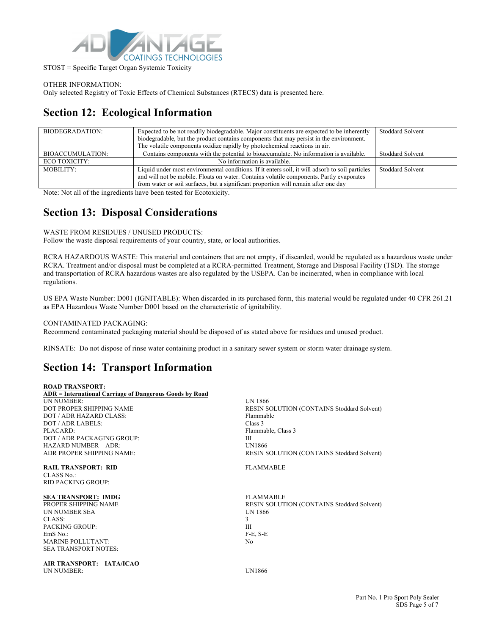

STOST = Specific Target Organ Systemic Toxicity

OTHER INFORMATION:

Only selected Registry of Toxic Effects of Chemical Substances (RTECS) data is presented here.

# **Section 12: Ecological Information**

| BIODEGRADATION:  | Expected to be not readily biodegradable. Major constituents are expected to be inherently<br>biodegradable, but the product contains components that may persist in the environment.                                                                                              | <b>Stoddard Solvent</b> |
|------------------|------------------------------------------------------------------------------------------------------------------------------------------------------------------------------------------------------------------------------------------------------------------------------------|-------------------------|
|                  | The volatile components oxidize rapidly by photochemical reactions in air.                                                                                                                                                                                                         |                         |
| BIOACCUMULATION: | Contains components with the potential to bioaccumulate. No information is available.                                                                                                                                                                                              | <b>Stoddard Solvent</b> |
| ECO TOXICITY:    | No information is available.                                                                                                                                                                                                                                                       |                         |
| MOBILITY:        | Liquid under most environmental conditions. If it enters soil, it will adsorb to soil particles<br>and will not be mobile. Floats on water. Contains volatile components. Partly evaporates<br>from water or soil surfaces, but a significant proportion will remain after one day | <b>Stoddard Solvent</b> |

Note: Not all of the ingredients have been tested for Ecotoxicity.

### **Section 13: Disposal Considerations**

WASTE FROM RESIDUES / UNUSED PRODUCTS:

Follow the waste disposal requirements of your country, state, or local authorities.

RCRA HAZARDOUS WASTE: This material and containers that are not empty, if discarded, would be regulated as a hazardous waste under RCRA. Treatment and/or disposal must be completed at a RCRA-permitted Treatment, Storage and Disposal Facility (TSD). The storage and transportation of RCRA hazardous wastes are also regulated by the USEPA. Can be incinerated, when in compliance with local regulations.

US EPA Waste Number: D001 (IGNITABLE): When discarded in its purchased form, this material would be regulated under 40 CFR 261.21 as EPA Hazardous Waste Number D001 based on the characteristic of ignitability.

### CONTAMINATED PACKAGING:

Recommend contaminated packaging material should be disposed of as stated above for residues and unused product.

RINSATE: Do not dispose of rinse water containing product in a sanitary sewer system or storm water drainage system.

# **Section 14: Transport Information**

### **ROAD TRANSPORT:**

**ADR = International Carriage of Dangerous Goods by Road** UN NUMBER: UN 1866 DOT PROPER SHIPPING NAME RESIN SOLUTION (CONTAINS Stoddard Solvent) DOT / ADR HAZARD CLASS: Flammable DOT / ADR LABELS: Class 3 PLACARD: Flammable, Class 3 DOT / ADR PACKAGING GROUP:<br>
HAZARD NIJMBER – ADR·<br>
IIN1866 HAZARD NUMBER - ADR: ADR PROPER SHIPPING NAME: RESIN SOLUTION (CONTAINS Stoddard Solvent) **RAIL TRANSPORT: RID FLAMMABLE** 

CLASS No.: RID PACKING GROUP:

**SEA TRANSPORT: IMDG** FLAMMABLE UN NUMBER SEA UN 1866 CLASS: 3 PACKING GROUP: III EmS No.: F-E, S-E MARINE POLLUTANT: No SEA TRANSPORT NOTES:

**AIR TRANSPORT: IATA/ICAO** UN NUMBER: UN1866

RESIN SOLUTION (CONTAINS Stoddard Solvent)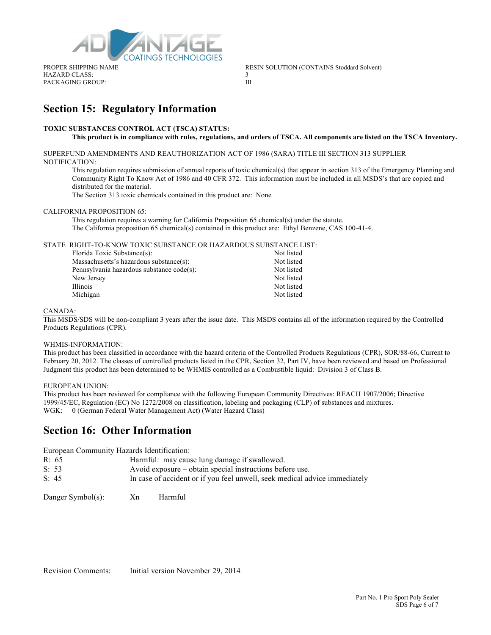

HAZARD CLASS: 3 PACKAGING GROUP: III

PROPER SHIPPING NAME RESIN SOLUTION (CONTAINS Stoddard Solvent)

### **Section 15: Regulatory Information**

### **TOXIC SUBSTANCES CONTROL ACT (TSCA) STATUS:**

### **This product is in compliance with rules, regulations, and orders of TSCA. All components are listed on the TSCA Inventory.**

SUPERFUND AMENDMENTS AND REAUTHORIZATION ACT OF 1986 (SARA) TITLE III SECTION 313 SUPPLIER NOTIFICATION:

This regulation requires submission of annual reports of toxic chemical(s) that appear in section 313 of the Emergency Planning and Community Right To Know Act of 1986 and 40 CFR 372. This information must be included in all MSDS's that are copied and distributed for the material.

The Section 313 toxic chemicals contained in this product are: None

#### CALIFORNIA PROPOSITION 65:

This regulation requires a warning for California Proposition 65 chemical(s) under the statute. The California proposition 65 chemical(s) contained in this product are: Ethyl Benzene, CAS 100-41-4.

### STATE RIGHT-TO-KNOW TOXIC SUBSTANCE OR HAZARDOUS SUBSTANCE LIST:

| Florida Toxic Substance(s):               | Not listed |
|-------------------------------------------|------------|
| Massachusetts's hazardous substance(s):   | Not listed |
| Pennsylvania hazardous substance code(s): | Not listed |
| New Jersey                                | Not listed |
| Illinois                                  | Not listed |
| Michigan                                  | Not listed |

#### CANADA:

This MSDS/SDS will be non-compliant 3 years after the issue date. This MSDS contains all of the information required by the Controlled Products Regulations (CPR).

#### WHMIS-INFORMATION:

This product has been classified in accordance with the hazard criteria of the Controlled Products Regulations (CPR), SOR/88-66, Current to February 20, 2012. The classes of controlled products listed in the CPR, Section 32, Part IV, have been reviewed and based on Professional Judgment this product has been determined to be WHMIS controlled as a Combustible liquid: Division 3 of Class B.

#### EUROPEAN UNION:

This product has been reviewed for compliance with the following European Community Directives: REACH 1907/2006; Directive 1999/45/EC, Regulation (EC) No 1272/2008 on classification, labeling and packaging (CLP) of substances and mixtures. WGK: 0 (German Federal Water Management Act) (Water Hazard Class)

### **Section 16: Other Information**

European Community Hazards Identification:

| R: 65 | Harmful: may cause lung damage if swallowed.                               |
|-------|----------------------------------------------------------------------------|
| S: 53 | Avoid exposure – obtain special instructions before use.                   |
| S: 45 | In case of accident or if you feel unwell, seek medical advice immediately |

Danger Symbol(s): Xn Harmful